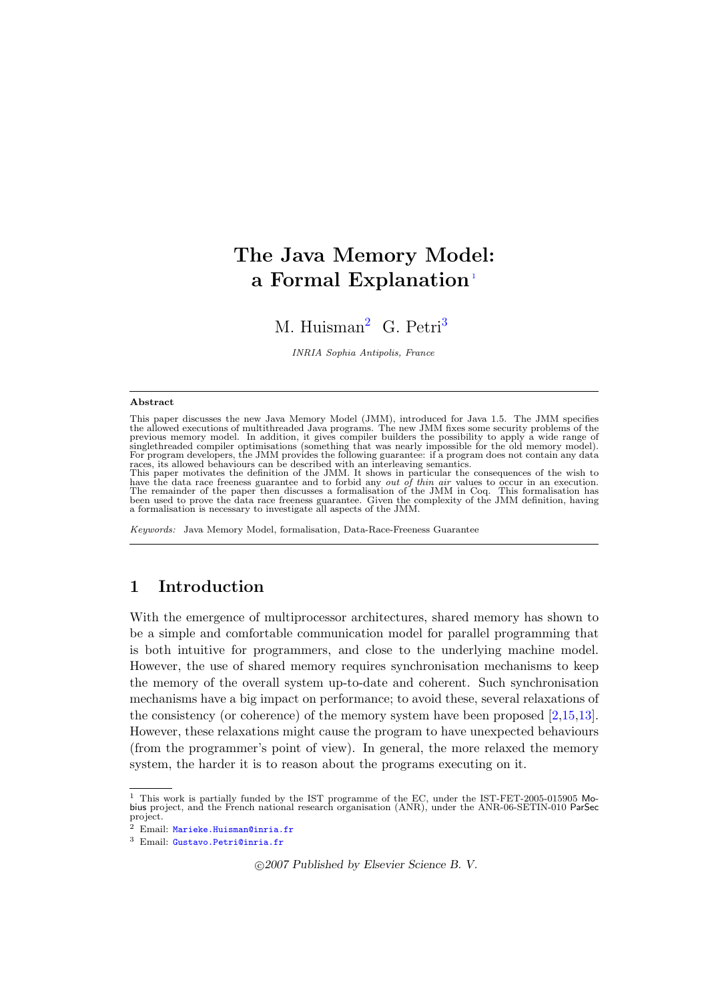# The Java Memory Model: a Formal Explanation<sup>[1](#page-0-0)</sup>

M. Huisman<sup>[2](#page-0-0)</sup> G. Petri<sup>[3](#page-0-0)</sup>

INRIA Sophia Antipolis, France

#### <span id="page-0-0"></span>Abstract

This paper discusses the new Java Memory Model (JMM), introduced for Java 1.5. The JMM specifies<br>the allowed executions of multithreaded Java programs. The new JMM fixes some security problems of the<br>previous memory model. singlethreaded compiler optimisations (something that was nearly impossible for the old memory model).<br>For program developers, the JMM provides the following guarantee: if a program does not contain any data<br>races, its all

This paper motivates the definition of the JMM. It shows in particular the consequences of the wish to have the data race freeness guarantee and to forbid any *out of thin air* values to occur in an execution.<br>The remainder of the paper then discusses a formalisation of the JMM in Coq. This formalisation has<br>been used to pr a formalisation is necessary to investigate all aspects of the JMM.

Keywords: Java Memory Model, formalisation, Data-Race-Freeness Guarantee

## 1 Introduction

With the emergence of multiprocessor architectures, shared memory has shown to be a simple and comfortable communication model for parallel programming that is both intuitive for programmers, and close to the underlying machine model. However, the use of shared memory requires synchronisation mechanisms to keep the memory of the overall system up-to-date and coherent. Such synchronisation mechanisms have a big impact on performance; to avoid these, several relaxations of the consistency (or coherence) of the memory system have been proposed  $[2,15,13]$  $[2,15,13]$  $[2,15,13]$ . However, these relaxations might cause the program to have unexpected behaviours (from the programmer's point of view). In general, the more relaxed the memory system, the harder it is to reason about the programs executing on it.

c 2007 Published by Elsevier Science B. V.

 $1$  This work is partially funded by the IST programme of the EC, under the IST-FET-2005-015905 Mobius project, and the French national research organisation (ANR), under the ANR-06-SETIN-010 ParSec project.

<sup>2</sup> Email: [Marieke.Huisman@inria.fr](mailto:Marieke.Huisman@inria.fr)

<sup>3</sup> Email: [Gustavo.Petri@inria.fr](mailto:Gustavo.Petri@inria.fr)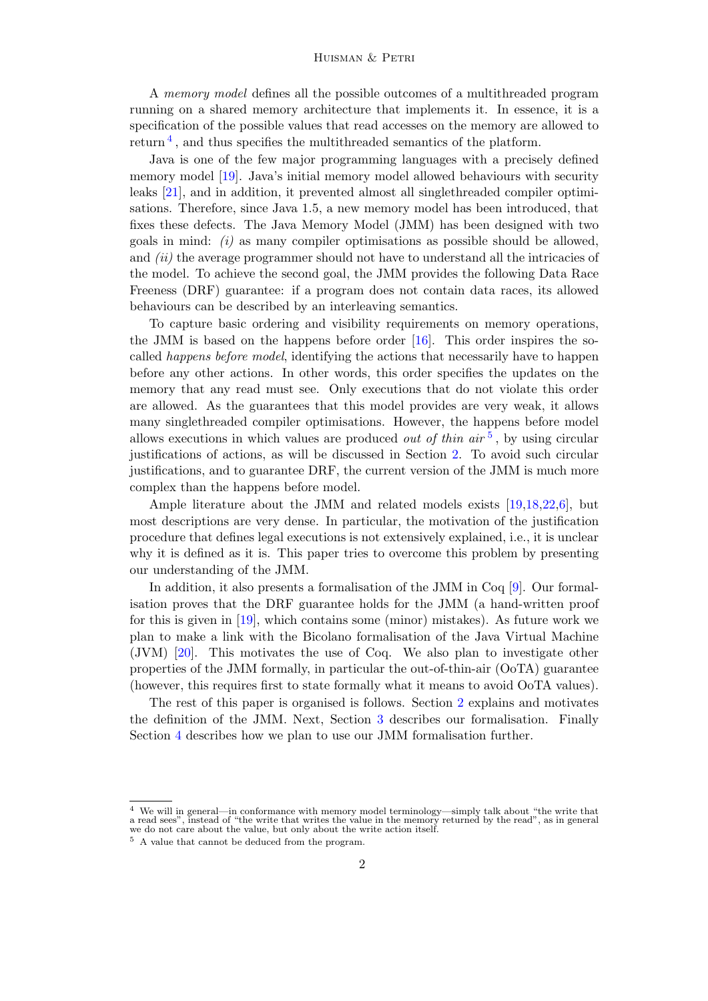#### Huisman & Petri

A memory model defines all the possible outcomes of a multithreaded program running on a shared memory architecture that implements it. In essence, it is a specification of the possible values that read accesses on the memory are allowed to return<sup>[4](#page-1-0)</sup>, and thus specifies the multithreaded semantics of the platform.

Java is one of the few major programming languages with a precisely defined memory model [\[19\]](#page-15-0). Java's initial memory model allowed behaviours with security leaks [\[21\]](#page-15-1), and in addition, it prevented almost all singlethreaded compiler optimisations. Therefore, since Java 1.5, a new memory model has been introduced, that fixes these defects. The Java Memory Model (JMM) has been designed with two goals in mind:  $(i)$  as many compiler optimisations as possible should be allowed, and *(ii)* the average programmer should not have to understand all the intricacies of the model. To achieve the second goal, the JMM provides the following Data Race Freeness (DRF) guarantee: if a program does not contain data races, its allowed behaviours can be described by an interleaving semantics.

To capture basic ordering and visibility requirements on memory operations, the JMM is based on the happens before order [\[16\]](#page-14-3). This order inspires the socalled happens before model, identifying the actions that necessarily have to happen before any other actions. In other words, this order specifies the updates on the memory that any read must see. Only executions that do not violate this order are allowed. As the guarantees that this model provides are very weak, it allows many singlethreaded compiler optimisations. However, the happens before model allows executions in which values are produced *out of thin air*<sup>[5](#page-1-1)</sup>, by using circular justifications of actions, as will be discussed in Section [2.](#page-2-0) To avoid such circular justifications, and to guarantee DRF, the current version of the JMM is much more complex than the happens before model.

Ample literature about the JMM and related models exists [\[19](#page-15-0)[,18](#page-14-4)[,22](#page-15-2)[,6\]](#page-14-5), but most descriptions are very dense. In particular, the motivation of the justification procedure that defines legal executions is not extensively explained, i.e., it is unclear why it is defined as it is. This paper tries to overcome this problem by presenting our understanding of the JMM.

In addition, it also presents a formalisation of the JMM in Coq [\[9\]](#page-14-6). Our formalisation proves that the DRF guarantee holds for the JMM (a hand-written proof for this is given in [\[19\]](#page-15-0), which contains some (minor) mistakes). As future work we plan to make a link with the Bicolano formalisation of the Java Virtual Machine (JVM) [\[20\]](#page-15-3). This motivates the use of Coq. We also plan to investigate other properties of the JMM formally, in particular the out-of-thin-air (OoTA) guarantee (however, this requires first to state formally what it means to avoid OoTA values).

The rest of this paper is organised is follows. Section [2](#page-2-0) explains and motivates the definition of the JMM. Next, Section [3](#page-9-0) describes our formalisation. Finally Section [4](#page-13-0) describes how we plan to use our JMM formalisation further.

<span id="page-1-0"></span><sup>4</sup> We will in general—in conformance with memory model terminology—simply talk about "the write that a read sees", instead of "the write that writes the value in the memory returned by the read", as in general we do not care about the value, but only about the write action itself.

<span id="page-1-1"></span><sup>5</sup> A value that cannot be deduced from the program.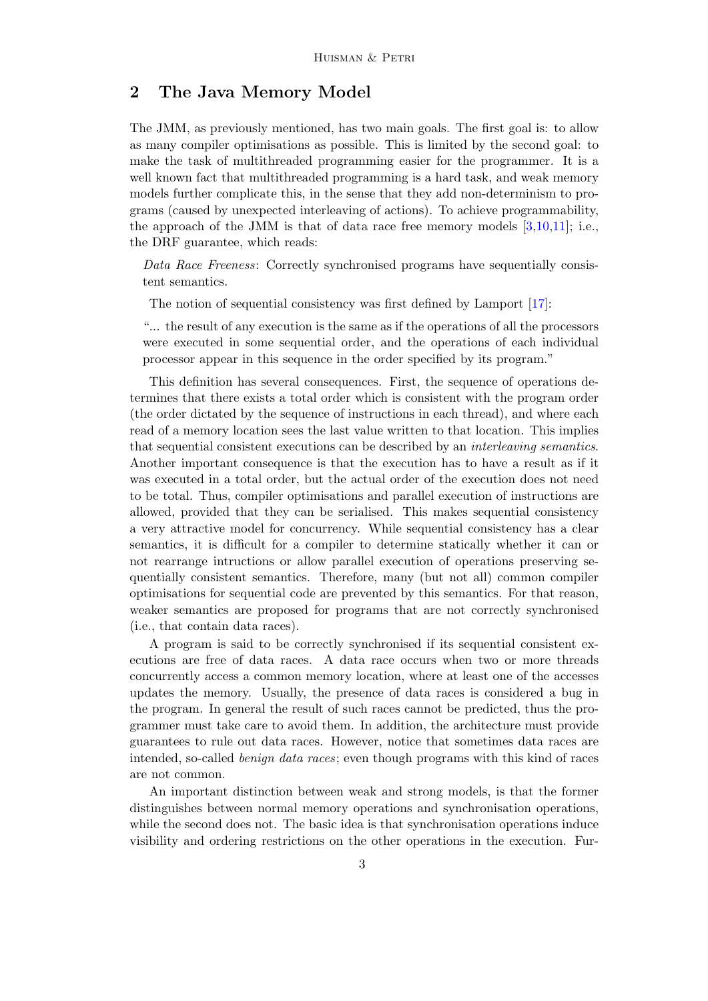## <span id="page-2-0"></span>2 The Java Memory Model

The JMM, as previously mentioned, has two main goals. The first goal is: to allow as many compiler optimisations as possible. This is limited by the second goal: to make the task of multithreaded programming easier for the programmer. It is a well known fact that multithreaded programming is a hard task, and weak memory models further complicate this, in the sense that they add non-determinism to programs (caused by unexpected interleaving of actions). To achieve programmability, the approach of the JMM is that of data race free memory models [\[3](#page-14-7)[,10,](#page-14-8)[11\]](#page-14-9); i.e., the DRF guarantee, which reads:

Data Race Freeness: Correctly synchronised programs have sequentially consistent semantics.

The notion of sequential consistency was first defined by Lamport [\[17\]](#page-14-10):

"... the result of any execution is the same as if the operations of all the processors were executed in some sequential order, and the operations of each individual processor appear in this sequence in the order specified by its program."

This definition has several consequences. First, the sequence of operations determines that there exists a total order which is consistent with the program order (the order dictated by the sequence of instructions in each thread), and where each read of a memory location sees the last value written to that location. This implies that sequential consistent executions can be described by an interleaving semantics. Another important consequence is that the execution has to have a result as if it was executed in a total order, but the actual order of the execution does not need to be total. Thus, compiler optimisations and parallel execution of instructions are allowed, provided that they can be serialised. This makes sequential consistency a very attractive model for concurrency. While sequential consistency has a clear semantics, it is difficult for a compiler to determine statically whether it can or not rearrange intructions or allow parallel execution of operations preserving sequentially consistent semantics. Therefore, many (but not all) common compiler optimisations for sequential code are prevented by this semantics. For that reason, weaker semantics are proposed for programs that are not correctly synchronised (i.e., that contain data races).

A program is said to be correctly synchronised if its sequential consistent executions are free of data races. A data race occurs when two or more threads concurrently access a common memory location, where at least one of the accesses updates the memory. Usually, the presence of data races is considered a bug in the program. In general the result of such races cannot be predicted, thus the programmer must take care to avoid them. In addition, the architecture must provide guarantees to rule out data races. However, notice that sometimes data races are intended, so-called benign data races; even though programs with this kind of races are not common.

An important distinction between weak and strong models, is that the former distinguishes between normal memory operations and synchronisation operations, while the second does not. The basic idea is that synchronisation operations induce visibility and ordering restrictions on the other operations in the execution. Fur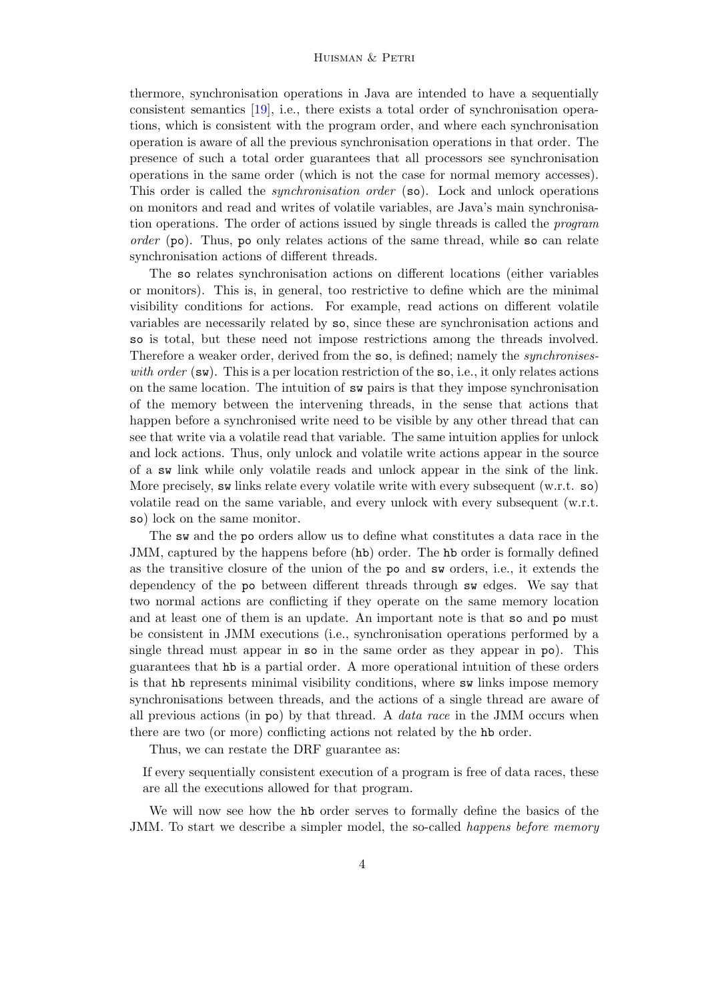thermore, synchronisation operations in Java are intended to have a sequentially consistent semantics [\[19\]](#page-15-0), i.e., there exists a total order of synchronisation operations, which is consistent with the program order, and where each synchronisation operation is aware of all the previous synchronisation operations in that order. The presence of such a total order guarantees that all processors see synchronisation operations in the same order (which is not the case for normal memory accesses). This order is called the *synchronisation order* (so). Lock and unlock operations on monitors and read and writes of volatile variables, are Java's main synchronisation operations. The order of actions issued by single threads is called the program order (po). Thus, po only relates actions of the same thread, while so can relate synchronisation actions of different threads.

The so relates synchronisation actions on different locations (either variables or monitors). This is, in general, too restrictive to define which are the minimal visibility conditions for actions. For example, read actions on different volatile variables are necessarily related by so, since these are synchronisation actions and so is total, but these need not impose restrictions among the threads involved. Therefore a weaker order, derived from the so, is defined; namely the *synchronises*with order  $(\mathbf{sw})$ . This is a per location restriction of the so, i.e., it only relates actions on the same location. The intuition of sw pairs is that they impose synchronisation of the memory between the intervening threads, in the sense that actions that happen before a synchronised write need to be visible by any other thread that can see that write via a volatile read that variable. The same intuition applies for unlock and lock actions. Thus, only unlock and volatile write actions appear in the source of a sw link while only volatile reads and unlock appear in the sink of the link. More precisely, sw links relate every volatile write with every subsequent (w.r.t. so) volatile read on the same variable, and every unlock with every subsequent (w.r.t. so) lock on the same monitor.

The sw and the po orders allow us to define what constitutes a data race in the JMM, captured by the happens before (hb) order. The hb order is formally defined as the transitive closure of the union of the po and sw orders, i.e., it extends the dependency of the po between different threads through sw edges. We say that two normal actions are conflicting if they operate on the same memory location and at least one of them is an update. An important note is that so and po must be consistent in JMM executions (i.e., synchronisation operations performed by a single thread must appear in so in the same order as they appear in po). This guarantees that hb is a partial order. A more operational intuition of these orders is that hb represents minimal visibility conditions, where sw links impose memory synchronisations between threads, and the actions of a single thread are aware of all previous actions (in  $\infty$ ) by that thread. A *data race* in the JMM occurs when there are two (or more) conflicting actions not related by the hb order.

Thus, we can restate the DRF guarantee as:

If every sequentially consistent execution of a program is free of data races, these are all the executions allowed for that program.

We will now see how the hb order serves to formally define the basics of the JMM. To start we describe a simpler model, the so-called *happens before memory*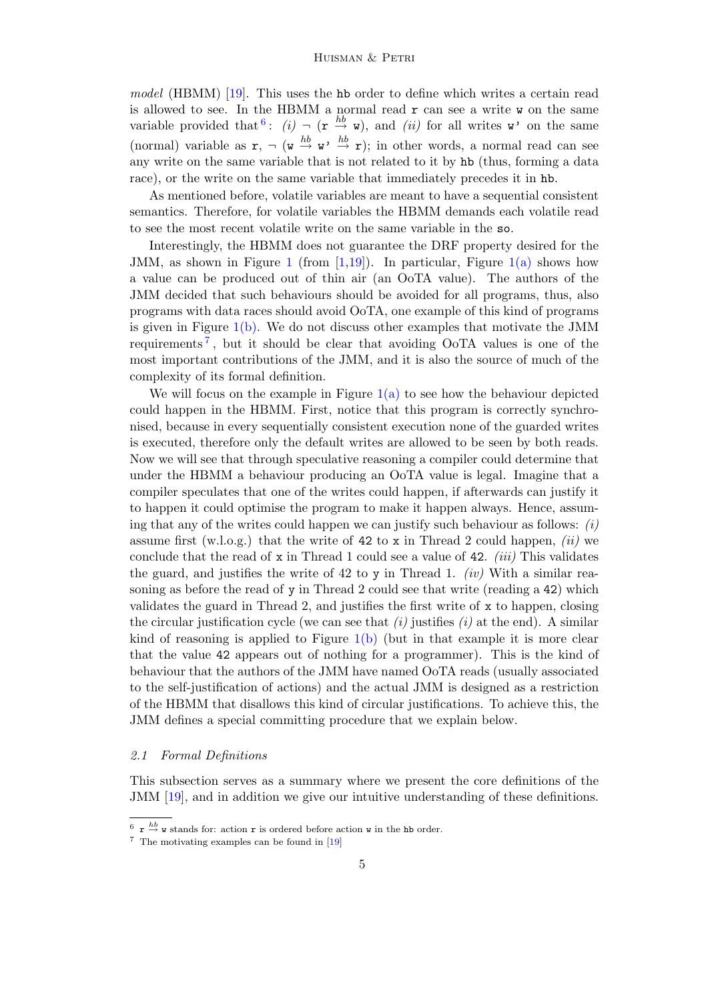model (HBMM) [\[19\]](#page-15-0). This uses the hb order to define which writes a certain read is allowed to see. In the HBMM a normal read  $r$  can see a write  $\bf{v}$  on the same variable provided that  $\{i: (i) \neg (r \stackrel{hb}{\rightarrow} w), \text{ and } (ii) \text{ for all writes } w\}$  on the same (normal) variable as  $\mathbf{r}, \neg$  ( $\mathbf{w} \stackrel{hb}{\rightarrow} \mathbf{w'} \stackrel{hb}{\rightarrow} \mathbf{r}$ ); in other words, a normal read can see any write on the same variable that is not related to it by hb (thus, forming a data race), or the write on the same variable that immediately precedes it in hb.

As mentioned before, volatile variables are meant to have a sequential consistent semantics. Therefore, for volatile variables the HBMM demands each volatile read to see the most recent volatile write on the same variable in the so.

Interestingly, the HBMM does not guarantee the DRF property desired for the JMM, as shown in Figure [1](#page-5-0) (from [\[1](#page-14-11)[,19\]](#page-15-0)). In particular, Figure  $1(a)$  shows how a value can be produced out of thin air (an OoTA value). The authors of the JMM decided that such behaviours should be avoided for all programs, thus, also programs with data races should avoid OoTA, one example of this kind of programs is given in Figure [1\(b\).](#page-5-2) We do not discuss other examples that motivate the JMM requirements<sup>[7](#page-4-1)</sup>, but it should be clear that avoiding OoTA values is one of the most important contributions of the JMM, and it is also the source of much of the complexity of its formal definition.

We will focus on the example in Figure  $1(a)$  to see how the behaviour depicted could happen in the HBMM. First, notice that this program is correctly synchronised, because in every sequentially consistent execution none of the guarded writes is executed, therefore only the default writes are allowed to be seen by both reads. Now we will see that through speculative reasoning a compiler could determine that under the HBMM a behaviour producing an OoTA value is legal. Imagine that a compiler speculates that one of the writes could happen, if afterwards can justify it to happen it could optimise the program to make it happen always. Hence, assuming that any of the writes could happen we can justify such behaviour as follows:  $(i)$ assume first (w.l.o.g.) that the write of 42 to x in Thread 2 could happen, *(ii)* we conclude that the read of  $x$  in Thread 1 could see a value of 42. *(iii)* This validates the guard, and justifies the write of 42 to y in Thread 1. *(iv)* With a similar reasoning as before the read of y in Thread 2 could see that write (reading a 42) which validates the guard in Thread 2, and justifies the first write of x to happen, closing the circular justification cycle (we can see that  $(i)$  justifies  $(i)$  at the end). A similar kind of reasoning is applied to Figure  $1(b)$  (but in that example it is more clear that the value 42 appears out of nothing for a programmer). This is the kind of behaviour that the authors of the JMM have named OoTA reads (usually associated to the self-justification of actions) and the actual JMM is designed as a restriction of the HBMM that disallows this kind of circular justifications. To achieve this, the JMM defines a special committing procedure that we explain below.

#### 2.1 Formal Definitions

This subsection serves as a summary where we present the core definitions of the JMM [\[19\]](#page-15-0), and in addition we give our intuitive understanding of these definitions.

<span id="page-4-0"></span> $\frac{6}{r}$   $\stackrel{\text{hb}}{\rightarrow}$  w stands for: action r is ordered before action w in the hb order.

<span id="page-4-1"></span><sup>7</sup> The motivating examples can be found in [\[19\]](#page-15-0)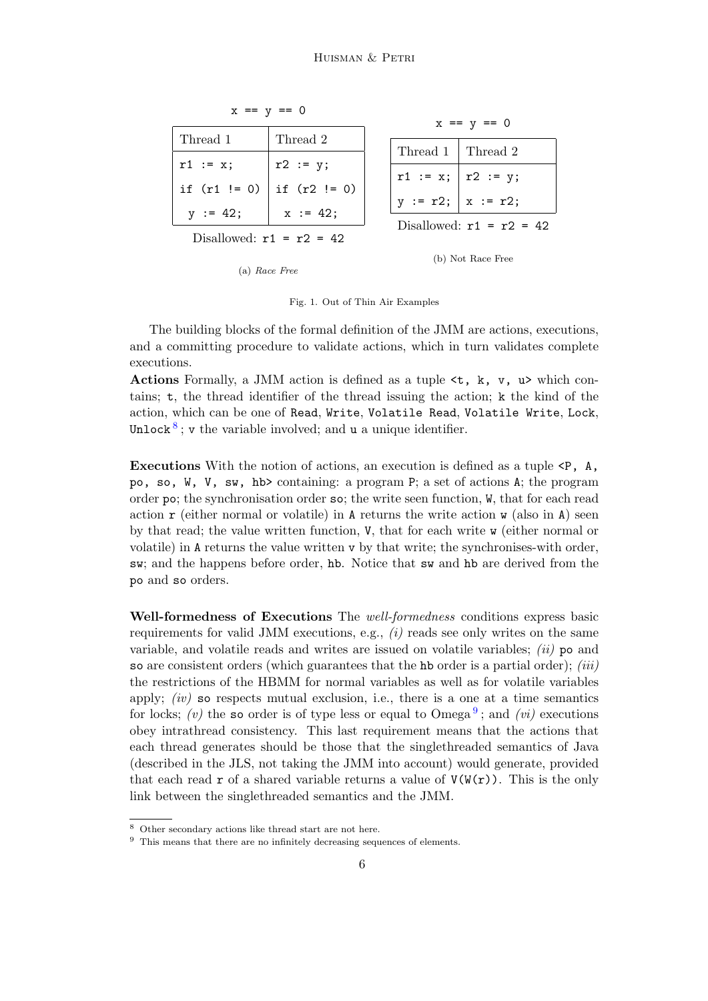<span id="page-5-1"></span>

| $x == y == 0$              |                | $x == y == 0$                                 |
|----------------------------|----------------|-----------------------------------------------|
| Thread 1                   | Thread 2       |                                               |
| $r1 := x;$                 | $r2 := y;$     | Thread 1<br>  Thread 2                        |
|                            |                | $r1 := x;  r2 := y;$<br>$y := r2;   x := r2;$ |
| if $(r1  = 0)$             | if $(r2  = 0)$ |                                               |
| $y := 42;$                 | $x := 42;$     | Disallowed: $r1 = r2 = 42$                    |
| Disallowed: $r1 = r2 = 42$ |                |                                               |
|                            |                | (b) Not Race Free                             |

<span id="page-5-2"></span><span id="page-5-0"></span>Fig. 1. Out of Thin Air Examples

(a) Race Free

The building blocks of the formal definition of the JMM are actions, executions, and a committing procedure to validate actions, which in turn validates complete executions.

Actions Formally, a JMM action is defined as a tuple  $\lt t$ , k, v, u> which contains; t, the thread identifier of the thread issuing the action; k the kind of the action, which can be one of Read, Write, Volatile Read, Volatile Write, Lock, Unlock<sup>[8](#page-5-3)</sup>; v the variable involved; and u a unique identifier.

Executions With the notion of actions, an execution is defined as a tuple <P, A, po, so, W, V, sw, hb> containing: a program P; a set of actions A; the program order po; the synchronisation order so; the write seen function, W, that for each read action  $\mathbf r$  (either normal or volatile) in A returns the write action  $\mathbf v$  (also in A) seen by that read; the value written function, V, that for each write w (either normal or volatile) in A returns the value written v by that write; the synchronises-with order, sw; and the happens before order, hb. Notice that sw and hb are derived from the po and so orders.

Well-formedness of Executions The *well-formedness* conditions express basic requirements for valid JMM executions, e.g.,  $(i)$  reads see only writes on the same variable, and volatile reads and writes are issued on volatile variables;  $(ii)$  po and so are consistent orders (which guarantees that the hb order is a partial order); *(iii)* the restrictions of the HBMM for normal variables as well as for volatile variables apply;  $(iv)$  so respects mutual exclusion, i.e., there is a one at a time semantics for locks; (v) the so order is of type less or equal to  $Omega^9$  $Omega^9$ ; and (vi) executions obey intrathread consistency. This last requirement means that the actions that each thread generates should be those that the singlethreaded semantics of Java (described in the JLS, not taking the JMM into account) would generate, provided that each read r of a shared variable returns a value of  $V(W(r))$ . This is the only link between the singlethreaded semantics and the JMM.

<span id="page-5-3"></span><sup>8</sup> Other secondary actions like thread start are not here.

<span id="page-5-4"></span> $9$  This means that there are no infinitely decreasing sequences of elements.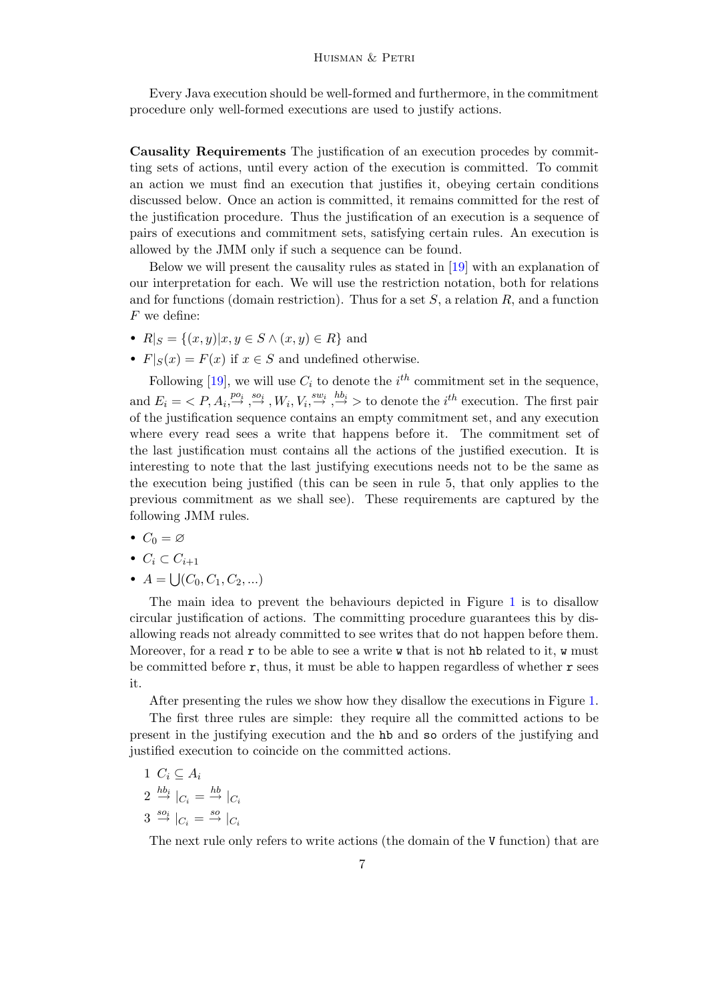Every Java execution should be well-formed and furthermore, in the commitment procedure only well-formed executions are used to justify actions.

Causality Requirements The justification of an execution procedes by committing sets of actions, until every action of the execution is committed. To commit an action we must find an execution that justifies it, obeying certain conditions discussed below. Once an action is committed, it remains committed for the rest of the justification procedure. Thus the justification of an execution is a sequence of pairs of executions and commitment sets, satisfying certain rules. An execution is allowed by the JMM only if such a sequence can be found.

Below we will present the causality rules as stated in [\[19\]](#page-15-0) with an explanation of our interpretation for each. We will use the restriction notation, both for relations and for functions (domain restriction). Thus for a set  $S$ , a relation  $R$ , and a function F we define:

- $R|_S = \{(x, y)|x, y \in S \land (x, y) \in R\}$  and
- $F|_{S}(x) = F(x)$  if  $x \in S$  and undefined otherwise.

Following [\[19\]](#page-15-0), we will use  $C_i$  to denote the  $i<sup>th</sup>$  commitment set in the sequence, and  $E_i = \langle P, A_i, \stackrel{po_i}{\rightarrow} \stackrel{so_i}{\rightarrow} W_i, V_i, \stackrel{sw_i}{\rightarrow} \stackrel{hb_i}{\rightarrow} \rangle$  to denote the *i*<sup>th</sup> execution. The first pair of the justification sequence contains an empty commitment set, and any execution where every read sees a write that happens before it. The commitment set of the last justification must contains all the actions of the justified execution. It is interesting to note that the last justifying executions needs not to be the same as the execution being justified (this can be seen in rule 5, that only applies to the previous commitment as we shall see). These requirements are captured by the following JMM rules.

- $C_0 = \varnothing$
- $C_i \subset C_{i+1}$
- $A = \bigcup (C_0, C_1, C_2, \ldots)$

The main idea to prevent the behaviours depicted in Figure [1](#page-5-0) is to disallow circular justification of actions. The committing procedure guarantees this by disallowing reads not already committed to see writes that do not happen before them. Moreover, for a read  $r$  to be able to see a write  $w$  that is not hb related to it,  $w$  must be committed before  $\mathbf r$ , thus, it must be able to happen regardless of whether  $\mathbf r$  sees it.

After presenting the rules we show how they disallow the executions in Figure [1.](#page-5-0)

The first three rules are simple: they require all the committed actions to be present in the justifying execution and the hb and so orders of the justifying and justified execution to coincide on the committed actions.

$$
\begin{array}{c}\n1 \ C_i \subseteq A_i \\
\downarrow_{\text{bb}}\n\end{array}
$$

- $2 \stackrel{hb_i}{\rightarrow} |_{C_i} = \stackrel{hb}{\rightarrow} |_{C_i}$
- $3 \stackrel{so_i}{\rightarrow} |_{C_i} = \stackrel{so}{\rightarrow} |_{C_i}$

The next rule only refers to write actions (the domain of the V function) that are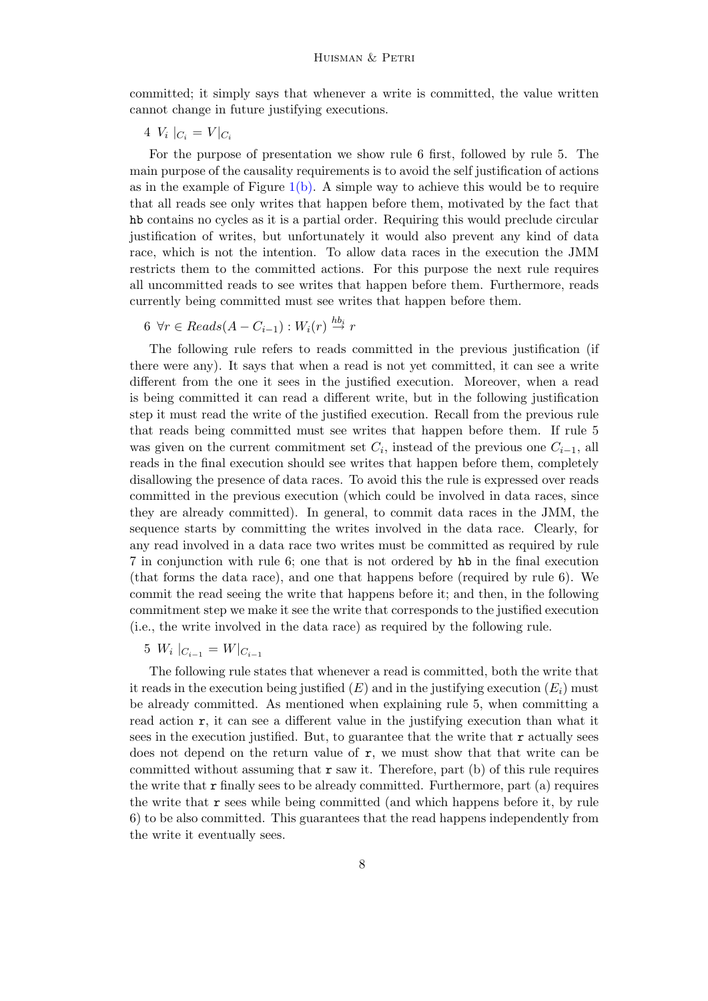committed; it simply says that whenever a write is committed, the value written cannot change in future justifying executions.

 $4 V_i \mid_{C_i} = V \mid_{C_i}$ 

For the purpose of presentation we show rule 6 first, followed by rule 5. The main purpose of the causality requirements is to avoid the self justification of actions as in the example of Figure  $1(b)$ . A simple way to achieve this would be to require that all reads see only writes that happen before them, motivated by the fact that hb contains no cycles as it is a partial order. Requiring this would preclude circular justification of writes, but unfortunately it would also prevent any kind of data race, which is not the intention. To allow data races in the execution the JMM restricts them to the committed actions. For this purpose the next rule requires all uncommitted reads to see writes that happen before them. Furthermore, reads currently being committed must see writes that happen before them.

6  $\forall r \in \text{Reads}(A - C_{i-1}) : W_i(r) \stackrel{hb_i}{\rightarrow} r$ 

The following rule refers to reads committed in the previous justification (if there were any). It says that when a read is not yet committed, it can see a write different from the one it sees in the justified execution. Moreover, when a read is being committed it can read a different write, but in the following justification step it must read the write of the justified execution. Recall from the previous rule that reads being committed must see writes that happen before them. If rule 5 was given on the current commitment set  $C_i$ , instead of the previous one  $C_{i-1}$ , all reads in the final execution should see writes that happen before them, completely disallowing the presence of data races. To avoid this the rule is expressed over reads committed in the previous execution (which could be involved in data races, since they are already committed). In general, to commit data races in the JMM, the sequence starts by committing the writes involved in the data race. Clearly, for any read involved in a data race two writes must be committed as required by rule 7 in conjunction with rule 6; one that is not ordered by hb in the final execution (that forms the data race), and one that happens before (required by rule 6). We commit the read seeing the write that happens before it; and then, in the following commitment step we make it see the write that corresponds to the justified execution (i.e., the write involved in the data race) as required by the following rule.

The following rule states that whenever a read is committed, both the write that it reads in the execution being justified  $(E)$  and in the justifying execution  $(E_i)$  must be already committed. As mentioned when explaining rule 5, when committing a read action r, it can see a different value in the justifying execution than what it sees in the execution justified. But, to guarantee that the write that  $\bf{r}$  actually sees does not depend on the return value of  $r$ , we must show that that write can be committed without assuming that  $r$  saw it. Therefore, part (b) of this rule requires the write that  $\mathbf r$  finally sees to be already committed. Furthermore, part (a) requires the write that  $\mathbf r$  sees while being committed (and which happens before it, by rule 6) to be also committed. This guarantees that the read happens independently from the write it eventually sees.

<sup>5</sup>  $W_i \mid_{C_{i-1}} = W \mid_{C_{i-1}}$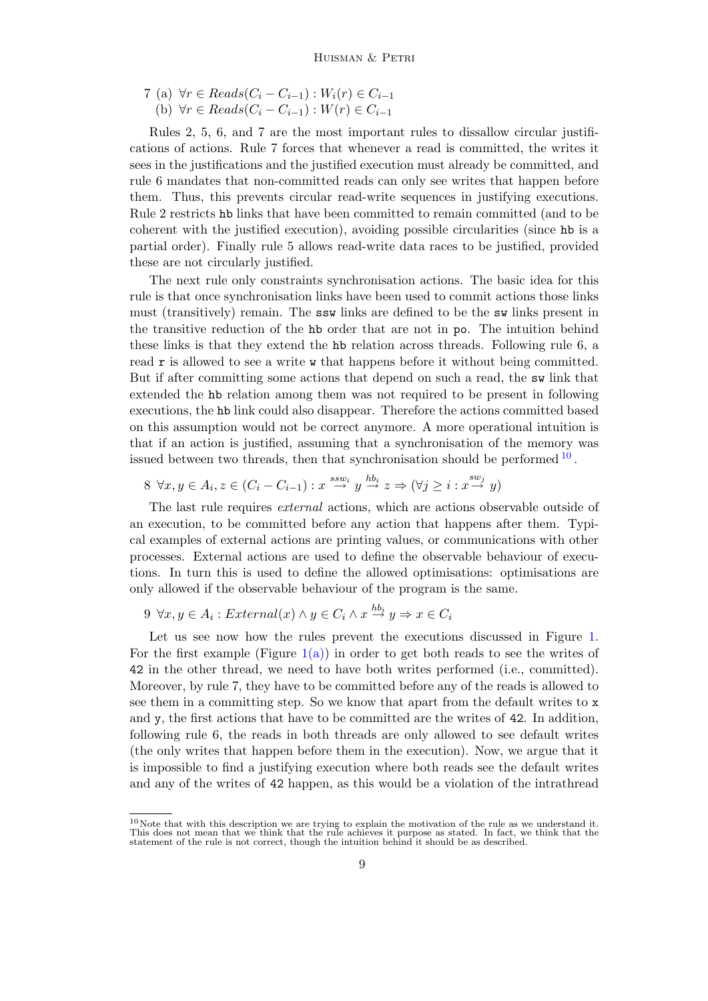7 (a) 
$$
\forall r \in \text{Reads}(C_i - C_{i-1}) : W_i(r) \in C_{i-1}
$$
  
(b)  $\forall r \in \text{Reads}(C_i - C_{i-1}) : W(r) \in C_{i-1}$ 

Rules 2, 5, 6, and 7 are the most important rules to dissallow circular justifications of actions. Rule 7 forces that whenever a read is committed, the writes it sees in the justifications and the justified execution must already be committed, and rule 6 mandates that non-committed reads can only see writes that happen before them. Thus, this prevents circular read-write sequences in justifying executions. Rule 2 restricts hb links that have been committed to remain committed (and to be coherent with the justified execution), avoiding possible circularities (since hb is a partial order). Finally rule 5 allows read-write data races to be justified, provided these are not circularly justified.

The next rule only constraints synchronisation actions. The basic idea for this rule is that once synchronisation links have been used to commit actions those links must (transitively) remain. The ssw links are defined to be the sw links present in the transitive reduction of the hb order that are not in po. The intuition behind these links is that they extend the hb relation across threads. Following rule 6, a read r is allowed to see a write w that happens before it without being committed. But if after committing some actions that depend on such a read, the sw link that extended the hb relation among them was not required to be present in following executions, the hb link could also disappear. Therefore the actions committed based on this assumption would not be correct anymore. A more operational intuition is that if an action is justified, assuming that a synchronisation of the memory was issued between two threads, then that synchronisation should be performed  $10$ .

$$
8 \ \forall x, y \in A_i, z \in (C_i - C_{i-1}) : x \stackrel{sw_i}{\to} y \stackrel{hb_i}{\to} z \Rightarrow (\forall j \geq i : x \stackrel{sw_j}{\to} y)
$$

The last rule requires *external* actions, which are actions observable outside of an execution, to be committed before any action that happens after them. Typical examples of external actions are printing values, or communications with other processes. External actions are used to define the observable behaviour of executions. In turn this is used to define the allowed optimisations: optimisations are only allowed if the observable behaviour of the program is the same.

## $9 \forall x, y \in A_i : External(x) \land y \in C_i \land x \stackrel{hb_i}{\rightarrow} y \Rightarrow x \in C_i$

Let us see now how the rules prevent the executions discussed in Figure [1.](#page-5-0) For the first example (Figure  $1(a)$ ) in order to get both reads to see the writes of 42 in the other thread, we need to have both writes performed (i.e., committed). Moreover, by rule 7, they have to be committed before any of the reads is allowed to see them in a committing step. So we know that apart from the default writes to x and y, the first actions that have to be committed are the writes of 42. In addition, following rule 6, the reads in both threads are only allowed to see default writes (the only writes that happen before them in the execution). Now, we argue that it is impossible to find a justifying execution where both reads see the default writes and any of the writes of 42 happen, as this would be a violation of the intrathread

<span id="page-8-0"></span> $10$ Note that with this description we are trying to explain the motivation of the rule as we understand it. This does not mean that we think that the rule achieves it purpose as stated. In fact, we think that the statement of the rule is not correct, though the intuition behind it should be as described.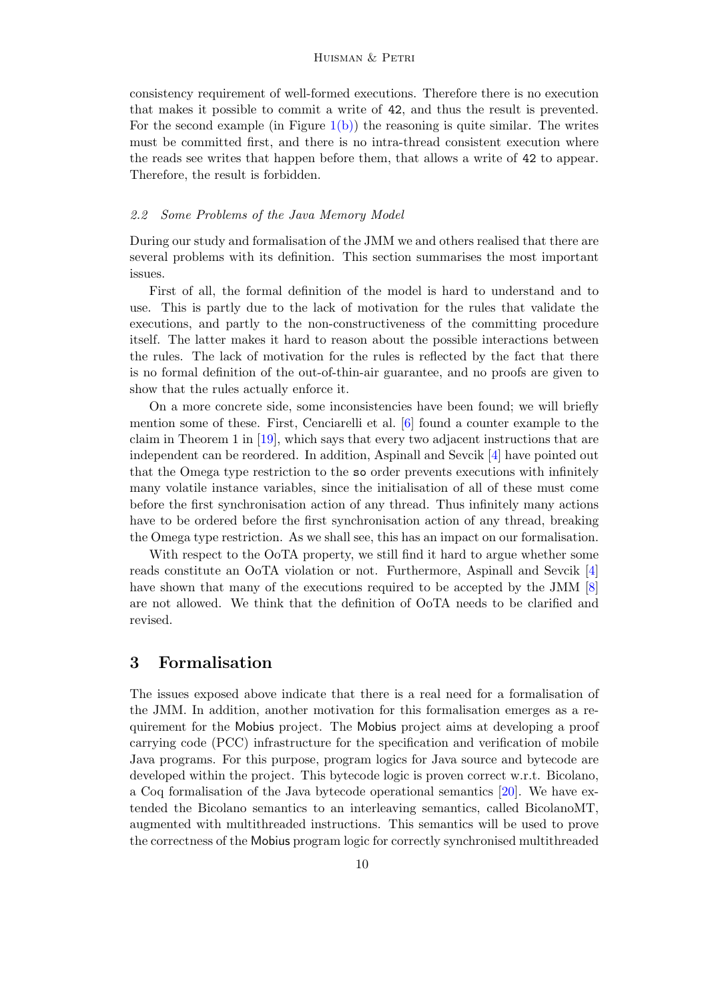consistency requirement of well-formed executions. Therefore there is no execution that makes it possible to commit a write of 42, and thus the result is prevented. For the second example (in Figure  $1(b)$ ) the reasoning is quite similar. The writes must be committed first, and there is no intra-thread consistent execution where the reads see writes that happen before them, that allows a write of 42 to appear. Therefore, the result is forbidden.

#### 2.2 Some Problems of the Java Memory Model

During our study and formalisation of the JMM we and others realised that there are several problems with its definition. This section summarises the most important issues.

First of all, the formal definition of the model is hard to understand and to use. This is partly due to the lack of motivation for the rules that validate the executions, and partly to the non-constructiveness of the committing procedure itself. The latter makes it hard to reason about the possible interactions between the rules. The lack of motivation for the rules is reflected by the fact that there is no formal definition of the out-of-thin-air guarantee, and no proofs are given to show that the rules actually enforce it.

On a more concrete side, some inconsistencies have been found; we will briefly mention some of these. First, Cenciarelli et al. [\[6\]](#page-14-5) found a counter example to the claim in Theorem 1 in [\[19\]](#page-15-0), which says that every two adjacent instructions that are independent can be reordered. In addition, Aspinall and Sevcik [\[4\]](#page-14-12) have pointed out that the Omega type restriction to the so order prevents executions with infinitely many volatile instance variables, since the initialisation of all of these must come before the first synchronisation action of any thread. Thus infinitely many actions have to be ordered before the first synchronisation action of any thread, breaking the Omega type restriction. As we shall see, this has an impact on our formalisation.

With respect to the OoTA property, we still find it hard to argue whether some reads constitute an OoTA violation or not. Furthermore, Aspinall and Sevcik [\[4\]](#page-14-12) have shown that many of the executions required to be accepted by the JMM [\[8\]](#page-14-13) are not allowed. We think that the definition of OoTA needs to be clarified and revised.

## <span id="page-9-0"></span>3 Formalisation

The issues exposed above indicate that there is a real need for a formalisation of the JMM. In addition, another motivation for this formalisation emerges as a requirement for the Mobius project. The Mobius project aims at developing a proof carrying code (PCC) infrastructure for the specification and verification of mobile Java programs. For this purpose, program logics for Java source and bytecode are developed within the project. This bytecode logic is proven correct w.r.t. Bicolano, a Coq formalisation of the Java bytecode operational semantics [\[20\]](#page-15-3). We have extended the Bicolano semantics to an interleaving semantics, called BicolanoMT, augmented with multithreaded instructions. This semantics will be used to prove the correctness of the Mobius program logic for correctly synchronised multithreaded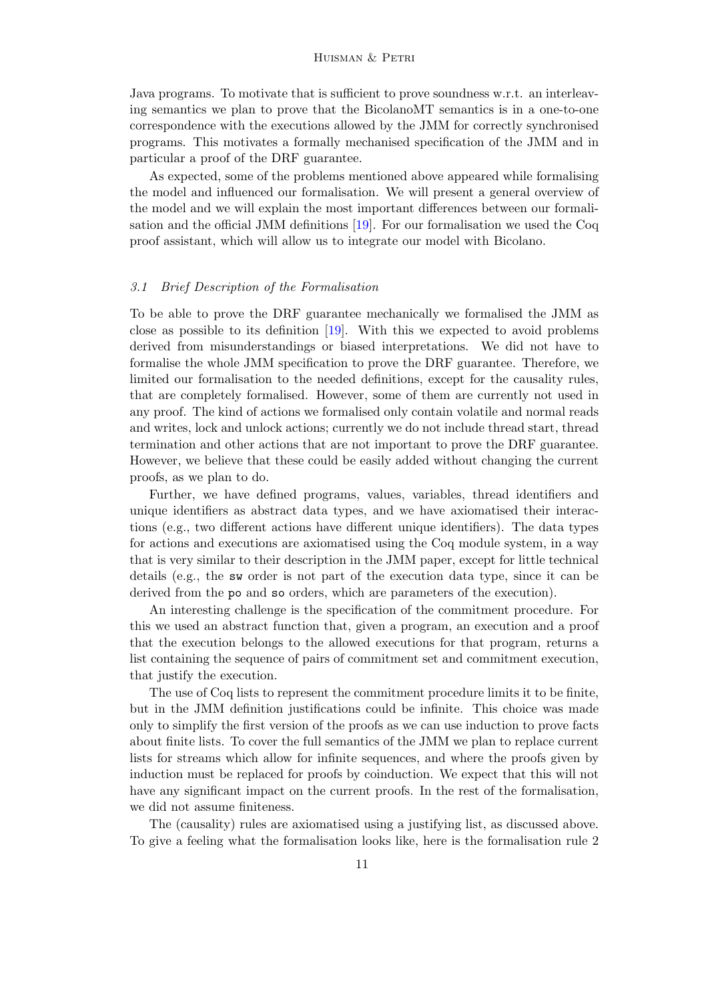Java programs. To motivate that is sufficient to prove soundness w.r.t. an interleaving semantics we plan to prove that the BicolanoMT semantics is in a one-to-one correspondence with the executions allowed by the JMM for correctly synchronised programs. This motivates a formally mechanised specification of the JMM and in particular a proof of the DRF guarantee.

As expected, some of the problems mentioned above appeared while formalising the model and influenced our formalisation. We will present a general overview of the model and we will explain the most important differences between our formalisation and the official JMM definitions [\[19\]](#page-15-0). For our formalisation we used the Coq proof assistant, which will allow us to integrate our model with Bicolano.

#### 3.1 Brief Description of the Formalisation

To be able to prove the DRF guarantee mechanically we formalised the JMM as close as possible to its definition [\[19\]](#page-15-0). With this we expected to avoid problems derived from misunderstandings or biased interpretations. We did not have to formalise the whole JMM specification to prove the DRF guarantee. Therefore, we limited our formalisation to the needed definitions, except for the causality rules, that are completely formalised. However, some of them are currently not used in any proof. The kind of actions we formalised only contain volatile and normal reads and writes, lock and unlock actions; currently we do not include thread start, thread termination and other actions that are not important to prove the DRF guarantee. However, we believe that these could be easily added without changing the current proofs, as we plan to do.

Further, we have defined programs, values, variables, thread identifiers and unique identifiers as abstract data types, and we have axiomatised their interactions (e.g., two different actions have different unique identifiers). The data types for actions and executions are axiomatised using the Coq module system, in a way that is very similar to their description in the JMM paper, except for little technical details (e.g., the sw order is not part of the execution data type, since it can be derived from the po and so orders, which are parameters of the execution).

An interesting challenge is the specification of the commitment procedure. For this we used an abstract function that, given a program, an execution and a proof that the execution belongs to the allowed executions for that program, returns a list containing the sequence of pairs of commitment set and commitment execution, that justify the execution.

The use of Coq lists to represent the commitment procedure limits it to be finite, but in the JMM definition justifications could be infinite. This choice was made only to simplify the first version of the proofs as we can use induction to prove facts about finite lists. To cover the full semantics of the JMM we plan to replace current lists for streams which allow for infinite sequences, and where the proofs given by induction must be replaced for proofs by coinduction. We expect that this will not have any significant impact on the current proofs. In the rest of the formalisation, we did not assume finiteness.

The (causality) rules are axiomatised using a justifying list, as discussed above. To give a feeling what the formalisation looks like, here is the formalisation rule 2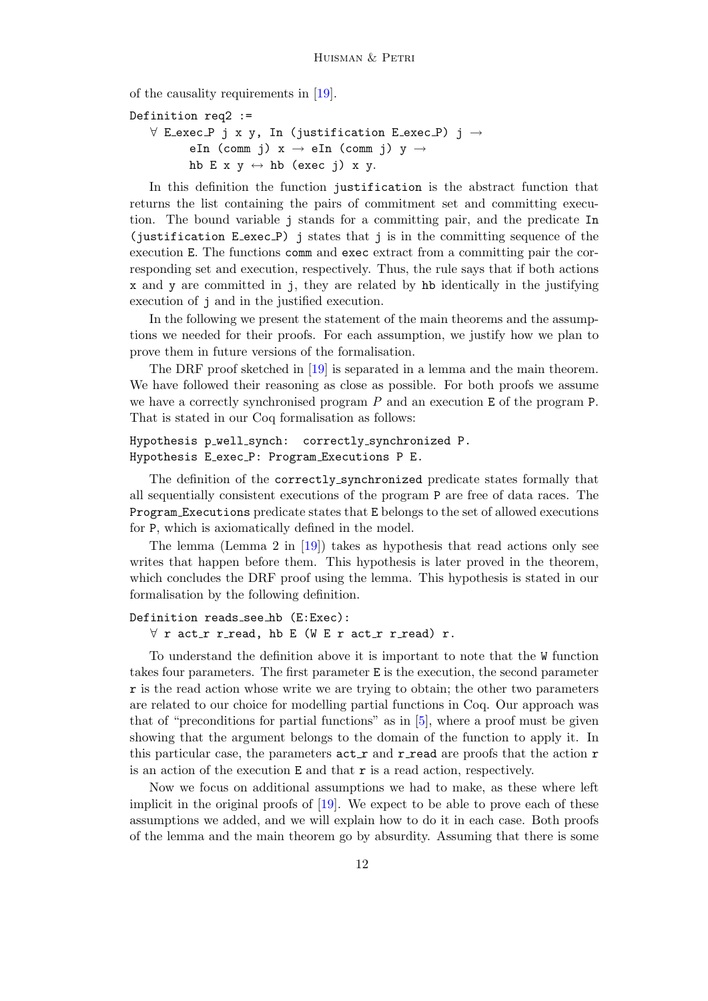of the causality requirements in [\[19\]](#page-15-0).

```
Definition req2 :=
   \forall E_exec_P j x y, In (justification E_exec_P) j \rightarroweIn (comm j) x \rightarrow eIn (comm j) y \rightarrowhb E x y \leftrightarrow hb (exec j) x y.
```
In this definition the function justification is the abstract function that returns the list containing the pairs of commitment set and committing execution. The bound variable j stands for a committing pair, and the predicate In (justification E exec P) j states that j is in the committing sequence of the execution E. The functions comm and exec extract from a committing pair the corresponding set and execution, respectively. Thus, the rule says that if both actions x and y are committed in j, they are related by hb identically in the justifying execution of j and in the justified execution.

In the following we present the statement of the main theorems and the assumptions we needed for their proofs. For each assumption, we justify how we plan to prove them in future versions of the formalisation.

The DRF proof sketched in [\[19\]](#page-15-0) is separated in a lemma and the main theorem. We have followed their reasoning as close as possible. For both proofs we assume we have a correctly synchronised program  $P$  and an execution  $E$  of the program  $P$ . That is stated in our Coq formalisation as follows:

#### Hypothesis p\_well\_synch: correctly\_synchronized P. Hypothesis E exec P: Program Executions P E.

The definition of the correctly synchronized predicate states formally that all sequentially consistent executions of the program P are free of data races. The Program Executions predicate states that E belongs to the set of allowed executions for P, which is axiomatically defined in the model.

The lemma (Lemma 2 in [\[19\]](#page-15-0)) takes as hypothesis that read actions only see writes that happen before them. This hypothesis is later proved in the theorem, which concludes the DRF proof using the lemma. This hypothesis is stated in our formalisation by the following definition.

### Definition reads see hb (E:Exec):  $\forall$  r act\_r r\_read, hb E (W E r act\_r r\_read) r.

To understand the definition above it is important to note that the W function takes four parameters. The first parameter E is the execution, the second parameter r is the read action whose write we are trying to obtain; the other two parameters are related to our choice for modelling partial functions in Coq. Our approach was that of "preconditions for partial functions" as in  $[5]$ , where a proof must be given showing that the argument belongs to the domain of the function to apply it. In this particular case, the parameters  $act_r$  and  $r_{read}$  are proofs that the action  $r$ is an action of the execution  $E$  and that  $r$  is a read action, respectively.

Now we focus on additional assumptions we had to make, as these where left implicit in the original proofs of  $[19]$ . We expect to be able to prove each of these assumptions we added, and we will explain how to do it in each case. Both proofs of the lemma and the main theorem go by absurdity. Assuming that there is some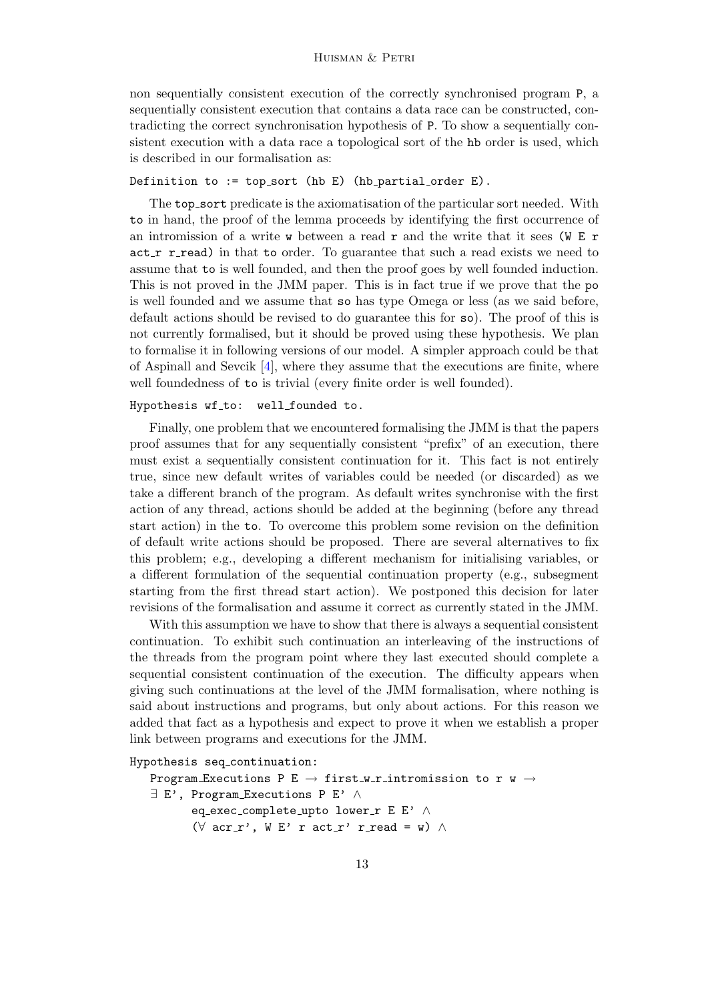non sequentially consistent execution of the correctly synchronised program P, a sequentially consistent execution that contains a data race can be constructed, contradicting the correct synchronisation hypothesis of P. To show a sequentially consistent execution with a data race a topological sort of the hb order is used, which is described in our formalisation as:

Definition to := top\_sort (hb E) (hb\_partial\_order E).

The top sort predicate is the axiomatisation of the particular sort needed. With to in hand, the proof of the lemma proceeds by identifying the first occurrence of an intromission of a write  $\bf{w}$  between a read  $\bf{r}$  and the write that it sees (W E  $\bf{r}$  $act_r$  r read) in that to order. To guarantee that such a read exists we need to assume that to is well founded, and then the proof goes by well founded induction. This is not proved in the JMM paper. This is in fact true if we prove that the po is well founded and we assume that so has type Omega or less (as we said before, default actions should be revised to do guarantee this for so). The proof of this is not currently formalised, but it should be proved using these hypothesis. We plan to formalise it in following versions of our model. A simpler approach could be that of Aspinall and Sevcik  $[4]$ , where they assume that the executions are finite, where well foundedness of to is trivial (every finite order is well founded).

#### Hypothesis wf\_to: well\_founded to.

Finally, one problem that we encountered formalising the JMM is that the papers proof assumes that for any sequentially consistent "prefix" of an execution, there must exist a sequentially consistent continuation for it. This fact is not entirely true, since new default writes of variables could be needed (or discarded) as we take a different branch of the program. As default writes synchronise with the first action of any thread, actions should be added at the beginning (before any thread start action) in the to. To overcome this problem some revision on the definition of default write actions should be proposed. There are several alternatives to fix this problem; e.g., developing a different mechanism for initialising variables, or a different formulation of the sequential continuation property (e.g., subsegment starting from the first thread start action). We postponed this decision for later revisions of the formalisation and assume it correct as currently stated in the JMM.

With this assumption we have to show that there is always a sequential consistent continuation. To exhibit such continuation an interleaving of the instructions of the threads from the program point where they last executed should complete a sequential consistent continuation of the execution. The difficulty appears when giving such continuations at the level of the JMM formalisation, where nothing is said about instructions and programs, but only about actions. For this reason we added that fact as a hypothesis and expect to prove it when we establish a proper link between programs and executions for the JMM.

```
Hypothesis seq continuation:
```

```
Program Executions P E \rightarrow first w r intromission to r w \rightarrow∃ E', Program Executions P E' ∧
        eq_exec_complete_upto lower_r E E' ∧
         (\forall \text{acr}_r', \forall E' \text{ r act}_r' \text{ r-read} = \text{w}) \wedge
```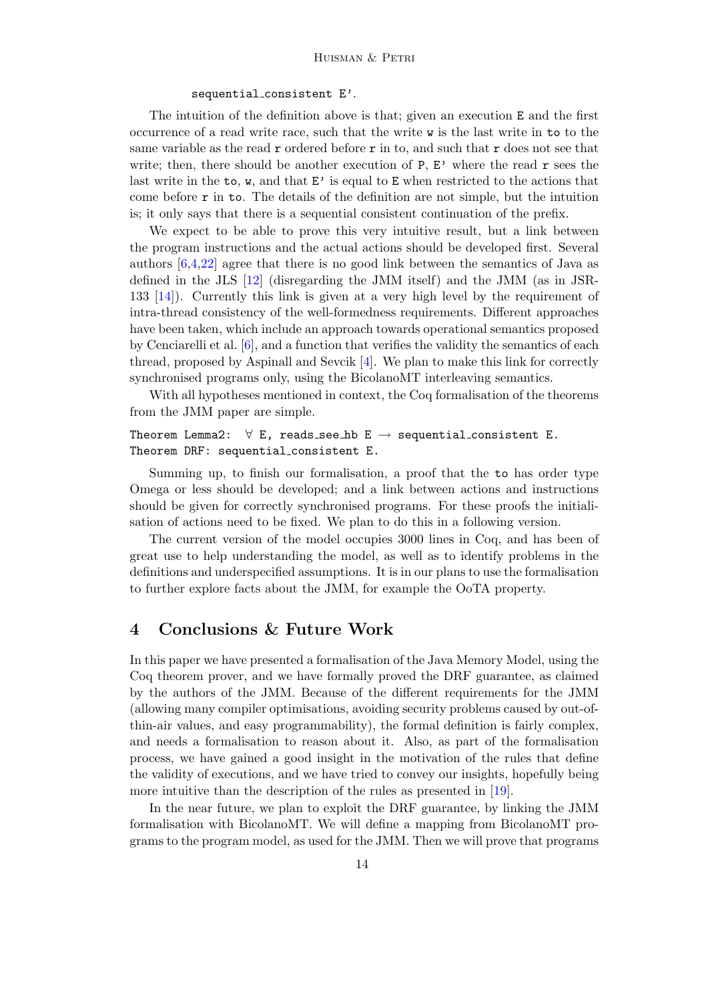#### sequential consistent E'.

The intuition of the definition above is that; given an execution E and the first occurrence of a read write race, such that the write w is the last write in to to the same variable as the read  $r$  ordered before  $r$  in to, and such that  $r$  does not see that write; then, there should be another execution of  $P$ ,  $E'$  where the read  $r$  sees the last write in the to,  $\bf{w}$ , and that  $\bf{E'}$  is equal to  $\bf{E}$  when restricted to the actions that come before  $\mathbf r$  in to. The details of the definition are not simple, but the intuition is; it only says that there is a sequential consistent continuation of the prefix.

We expect to be able to prove this very intuitive result, but a link between the program instructions and the actual actions should be developed first. Several authors [\[6,](#page-14-5)[4,](#page-14-12)[22\]](#page-15-2) agree that there is no good link between the semantics of Java as defined in the JLS [\[12\]](#page-14-15) (disregarding the JMM itself) and the JMM (as in JSR-133 [\[14\]](#page-14-16)). Currently this link is given at a very high level by the requirement of intra-thread consistency of the well-formedness requirements. Different approaches have been taken, which include an approach towards operational semantics proposed by Cenciarelli et al. [\[6\]](#page-14-5), and a function that verifies the validity the semantics of each thread, proposed by Aspinall and Sevcik [\[4\]](#page-14-12). We plan to make this link for correctly synchronised programs only, using the BicolanoMT interleaving semantics.

With all hypotheses mentioned in context, the Coq formalisation of the theorems from the JMM paper are simple.

Theorem Lemma2:  $\forall$  E, reads\_see\_hb E  $\rightarrow$  sequential\_consistent E. Theorem DRF: sequential consistent E.

Summing up, to finish our formalisation, a proof that the to has order type Omega or less should be developed; and a link between actions and instructions should be given for correctly synchronised programs. For these proofs the initialisation of actions need to be fixed. We plan to do this in a following version.

The current version of the model occupies 3000 lines in Coq, and has been of great use to help understanding the model, as well as to identify problems in the definitions and underspecified assumptions. It is in our plans to use the formalisation to further explore facts about the JMM, for example the OoTA property.

## <span id="page-13-0"></span>4 Conclusions & Future Work

In this paper we have presented a formalisation of the Java Memory Model, using the Coq theorem prover, and we have formally proved the DRF guarantee, as claimed by the authors of the JMM. Because of the different requirements for the JMM (allowing many compiler optimisations, avoiding security problems caused by out-ofthin-air values, and easy programmability), the formal definition is fairly complex, and needs a formalisation to reason about it. Also, as part of the formalisation process, we have gained a good insight in the motivation of the rules that define the validity of executions, and we have tried to convey our insights, hopefully being more intuitive than the description of the rules as presented in [\[19\]](#page-15-0).

In the near future, we plan to exploit the DRF guarantee, by linking the JMM formalisation with BicolanoMT. We will define a mapping from BicolanoMT programs to the program model, as used for the JMM. Then we will prove that programs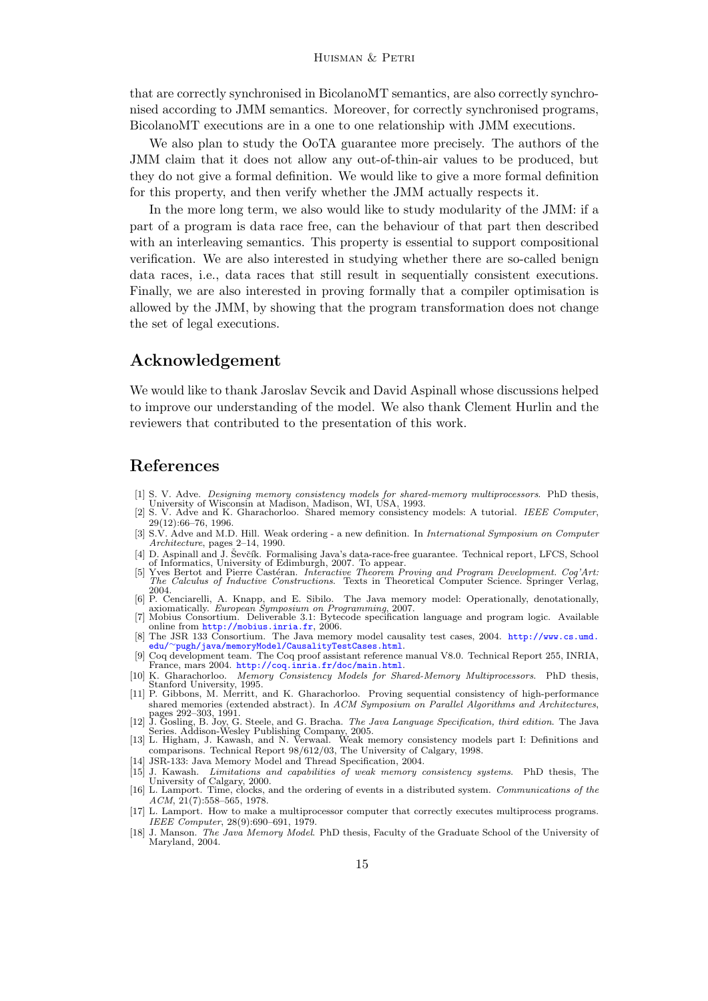that are correctly synchronised in BicolanoMT semantics, are also correctly synchronised according to JMM semantics. Moreover, for correctly synchronised programs, BicolanoMT executions are in a one to one relationship with JMM executions.

We also plan to study the OoTA guarantee more precisely. The authors of the JMM claim that it does not allow any out-of-thin-air values to be produced, but they do not give a formal definition. We would like to give a more formal definition for this property, and then verify whether the JMM actually respects it.

In the more long term, we also would like to study modularity of the JMM: if a part of a program is data race free, can the behaviour of that part then described with an interleaving semantics. This property is essential to support compositional verification. We are also interested in studying whether there are so-called benign data races, i.e., data races that still result in sequentially consistent executions. Finally, we are also interested in proving formally that a compiler optimisation is allowed by the JMM, by showing that the program transformation does not change the set of legal executions.

## Acknowledgement

We would like to thank Jaroslav Sevcik and David Aspinall whose discussions helped to improve our understanding of the model. We also thank Clement Hurlin and the reviewers that contributed to the presentation of this work.

## References

- <span id="page-14-11"></span>[1] S. V. Adve. Designing memory consistency models for shared-memory multiprocessors. PhD thesis, University of Wisconsin at Madison, Madison, WI, USA, 1993.
- <span id="page-14-0"></span>[2] S. V. Adve and K. Gharachorloo. Shared memory consistency models: A tutorial. IEEE Computer, 29(12):66–76, 1996.
- <span id="page-14-7"></span>[3] S.V. Adve and M.D. Hill. Weak ordering - a new definition. In International Symposium on Computer Architecture, pages 2–14, 1990.
- <span id="page-14-12"></span>[4] D. Aspinall and J. Ševčík. Formalising Java's data-race-free guarantee. Technical report, LFCS, School
- <span id="page-14-14"></span>of Informatics, University of Edimburgh, 2007. To appear.<br>[5] Yves Bertot and Pierre Castéran. *Interactive Theorem Proving and Program Development. Coq'Art.*<br>The Calculus of Inductive Constructions. Texts in Theoretical C 2004.
- <span id="page-14-5"></span>[6] P. Cenciarelli, A. Knapp, and E. Sibilo. The Java memory model: Operationally, denotationally, axiomatically. *European Symposium on Programming*, 2007.<br>[7] Mobius Consortium. Deliverable 3.1: Bytecode specification la
- <span id="page-14-17"></span>online from  $\texttt{http://mobius.inria.fr},\,2006.$  $\texttt{http://mobius.inria.fr},\,2006.$  $\texttt{http://mobius.inria.fr},\,2006.$
- <span id="page-14-13"></span>[8] The JSR 133 Consortium. The Java memory model causality test cases, 2004. [http://www.cs.umd.](http://www.cs.umd.edu/~pugh/java/memoryModel/CausalityTestCases.html) edu/∼[pugh/java/memoryModel/CausalityTestCases.html](http://www.cs.umd.edu/~pugh/java/memoryModel/CausalityTestCases.html).
- <span id="page-14-6"></span>[9] Coq development team. The Coq proof assistant reference manual V8.0. Technical Report 255, INRIA, France, mars 2004. <http://coq.inria.fr/doc/main.html>.
- <span id="page-14-8"></span>[10] K. Gharachorloo. Memory Consistency Models for Shared-Memory Multiprocessors. PhD thesis, Stanford University, 1995.
- <span id="page-14-9"></span>[11] P. Gibbons, M. Merritt, and K. Gharachorloo. Proving sequential consistency of high-performance shared memories (extended abstract). In ACM Symposium on Parallel Algorithms and Architectures, pages 292–303, 1991.
- <span id="page-14-15"></span>[12] J. Gosling, B. Joy, G. Steele, and G. Bracha. *The Java Language Specification, third edition*. The Java Series. Addison-Wesley Publishing Company, 2005.<br>[13] L. Higham, J. Kawash, and N. Verwaal. Weak memory consiste
- <span id="page-14-2"></span>comparisons. Technical Report 98/612/03, The University of Calgary, 1998.
- <span id="page-14-16"></span>[14] JSR-133: Java Memory Model and Thread Specification, 2004.
- <span id="page-14-1"></span>[15] J. Kawash. Limitations and capabilities of weak memory consistency systems. PhD thesis, The University of Calgary, 2000. [16] L. Lamport. Time, clocks, and the ordering of events in a distributed system. Communications of the
- <span id="page-14-3"></span>ACM, 21(7):558–565, 1978.
- <span id="page-14-10"></span>[17] L. Lamport. How to make a multiprocessor computer that correctly executes multiprocess programs. IEEE Computer, 28(9):690–691, 1979.
- <span id="page-14-4"></span>[18] J. Manson. The Java Memory Model. PhD thesis, Faculty of the Graduate School of the University of Maryland, 2004.